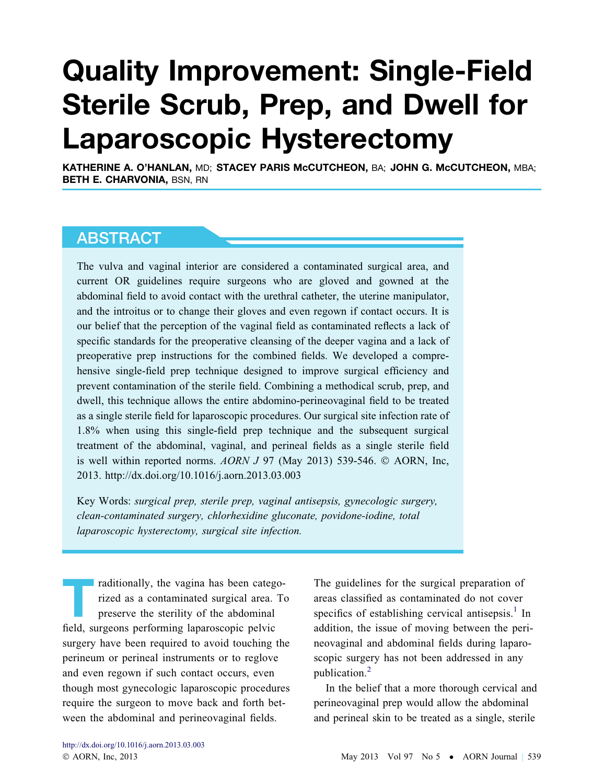# Quality Improvement: Single-Field Sterile Scrub, Prep, and Dwell for Laparoscopic Hysterectomy

KATHERINE A. O'HANLAN, MD; STACEY PARIS McCUTCHEON, BA; JOHN G. McCUTCHEON, MBA; BETH E. CHARVONIA, BSN, RN

# ABSTRACT

The vulva and vaginal interior are considered a contaminated surgical area, and current OR guidelines require surgeons who are gloved and gowned at the abdominal field to avoid contact with the urethral catheter, the uterine manipulator, and the introitus or to change their gloves and even regown if contact occurs. It is our belief that the perception of the vaginal field as contaminated reflects a lack of specific standards for the preoperative cleansing of the deeper vagina and a lack of preoperative prep instructions for the combined fields. We developed a comprehensive single-field prep technique designed to improve surgical efficiency and prevent contamination of the sterile field. Combining a methodical scrub, prep, and dwell, this technique allows the entire abdomino-perineovaginal field to be treated as a single sterile field for laparoscopic procedures. Our surgical site infection rate of 1.8% when using this single-field prep technique and the subsequent surgical treatment of the abdominal, vaginal, and perineal fields as a single sterile field is well within reported norms.  $AORN$  J 97 (May 2013) 539-546.  $©$  AORN, Inc, 2013. http://dx.doi.org/10.1016/j.aorn.2013.03.003

Key Words: surgical prep, sterile prep, vaginal antisepsis, gynecologic surgery, clean-contaminated surgery, chlorhexidine gluconate, povidone-iodine, total laparoscopic hysterectomy, surgical site infection.

raditionally, the vagina has been catego-<br>rized as a contaminated surgical area. To<br>preserve the sterility of the abdominal rized as a contaminated surgical area. To preserve the sterility of the abdominal field, surgeons performing laparoscopic pelvic surgery have been required to avoid touching the perineum or perineal instruments or to reglove and even regown if such contact occurs, even though most gynecologic laparoscopic procedures require the surgeon to move back and forth between the abdominal and perineovaginal fields.

The guidelines for the surgical preparation of areas classified as contaminated do not cover specifics of establishing cervical antisepsis. $<sup>1</sup>$  $<sup>1</sup>$  $<sup>1</sup>$  In</sup> addition, the issue of moving between the perineovaginal and abdominal fields during laparoscopic surgery has not been addressed in any publication.[2](#page-6-0)

In the belief that a more thorough cervical and perineovaginal prep would allow the abdominal and perineal skin to be treated as a single, sterile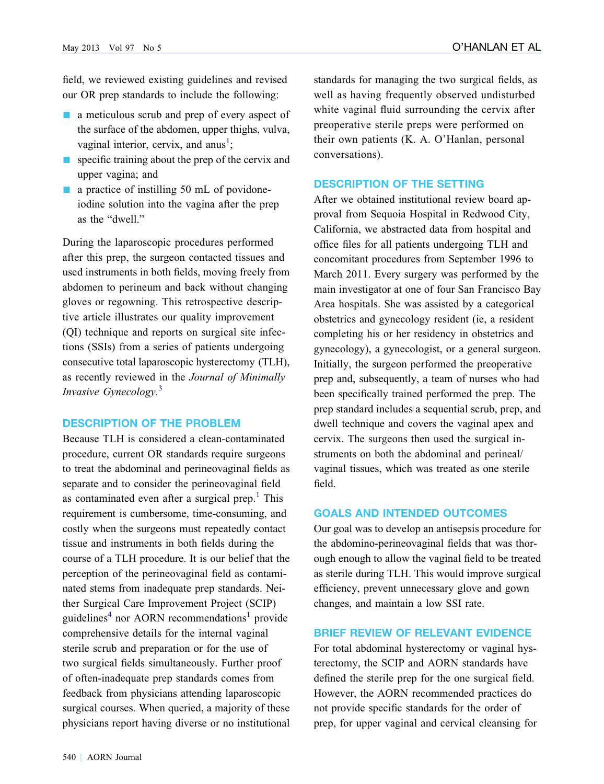field, we reviewed existing guidelines and revised our OR prep standards to include the following:

- $\blacksquare$  a meticulous scrub and prep of every aspect of the surface of the abdomen, upper thighs, vulva, vaginal interior, cervix, and anus<sup>[1](#page-6-0)</sup>;
- $\blacksquare$  specific training about the prep of the cervix and upper vagina; and
- $\blacksquare$  a practice of instilling 50 mL of povidoneiodine solution into the vagina after the prep as the "dwell."

During the laparoscopic procedures performed after this prep, the surgeon contacted tissues and used instruments in both fields, moving freely from abdomen to perineum and back without changing gloves or regowning. This retrospective descriptive article illustrates our quality improvement (QI) technique and reports on surgical site infections (SSIs) from a series of patients undergoing consecutive total laparoscopic hysterectomy (TLH), as recently reviewed in the Journal of Minimally Invasive Gynecology.<sup>[3](#page-6-0)</sup>

#### DESCRIPTION OF THE PROBLEM

Because TLH is considered a clean-contaminated procedure, current OR standards require surgeons to treat the abdominal and perineovaginal fields as separate and to consider the perineovaginal field as contaminated even after a surgical prep.<sup>[1](#page-6-0)</sup> This requirement is cumbersome, time-consuming, and costly when the surgeons must repeatedly contact tissue and instruments in both fields during the course of a TLH procedure. It is our belief that the perception of the perineovaginal field as contaminated stems from inadequate prep standards. Neither Surgical Care Improvement Project (SCIP) guidelines<sup>[4](#page-6-0)</sup> nor AORN recommendations<sup>1</sup> provide comprehensive details for the internal vaginal sterile scrub and preparation or for the use of two surgical fields simultaneously. Further proof of often-inadequate prep standards comes from feedback from physicians attending laparoscopic surgical courses. When queried, a majority of these physicians report having diverse or no institutional

standards for managing the two surgical fields, as well as having frequently observed undisturbed white vaginal fluid surrounding the cervix after preoperative sterile preps were performed on their own patients (K. A. O'Hanlan, personal conversations).

#### DESCRIPTION OF THE SETTING

After we obtained institutional review board approval from Sequoia Hospital in Redwood City, California, we abstracted data from hospital and office files for all patients undergoing TLH and concomitant procedures from September 1996 to March 2011. Every surgery was performed by the main investigator at one of four San Francisco Bay Area hospitals. She was assisted by a categorical obstetrics and gynecology resident (ie, a resident completing his or her residency in obstetrics and gynecology), a gynecologist, or a general surgeon. Initially, the surgeon performed the preoperative prep and, subsequently, a team of nurses who had been specifically trained performed the prep. The prep standard includes a sequential scrub, prep, and dwell technique and covers the vaginal apex and cervix. The surgeons then used the surgical instruments on both the abdominal and perineal/ vaginal tissues, which was treated as one sterile field.

## GOALS AND INTENDED OUTCOMES

Our goal was to develop an antisepsis procedure for the abdomino-perineovaginal fields that was thorough enough to allow the vaginal field to be treated as sterile during TLH. This would improve surgical efficiency, prevent unnecessary glove and gown changes, and maintain a low SSI rate.

## BRIEF REVIEW OF RELEVANT EVIDENCE

For total abdominal hysterectomy or vaginal hysterectomy, the SCIP and AORN standards have defined the sterile prep for the one surgical field. However, the AORN recommended practices do not provide specific standards for the order of prep, for upper vaginal and cervical cleansing for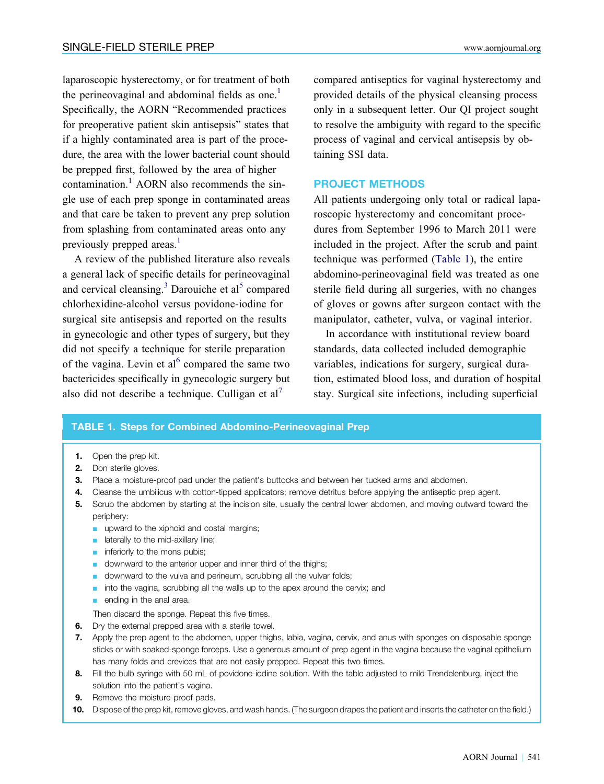laparoscopic hysterectomy, or for treatment of both the perineovaginal and abdominal fields as one.<sup>[1](#page-6-0)</sup> Specifically, the AORN "Recommended practices for preoperative patient skin antisepsis" states that if a highly contaminated area is part of the procedure, the area with the lower bacterial count should be prepped first, followed by the area of higher contamination.<sup>1</sup> AORN also recommends the single use of each prep sponge in contaminated areas and that care be taken to prevent any prep solution from splashing from contaminated areas onto any previously prepped areas.<sup>[1](#page-6-0)</sup>

A review of the published literature also reveals a general lack of specific details for perineovaginal and cervical cleansing.<sup>[3](#page-6-0)</sup> Darouiche et al<sup>[5](#page-7-0)</sup> compared chlorhexidine-alcohol versus povidone-iodine for surgical site antisepsis and reported on the results in gynecologic and other types of surgery, but they did not specify a technique for sterile preparation of the vagina. Levin et al<sup>[6](#page-7-0)</sup> compared the same two bactericides specifically in gynecologic surgery but also did not describe a technique. Culligan et  $al^7$  $al^7$ 

compared antiseptics for vaginal hysterectomy and provided details of the physical cleansing process only in a subsequent letter. Our QI project sought to resolve the ambiguity with regard to the specific process of vaginal and cervical antisepsis by obtaining SSI data.

#### PROJECT METHODS

All patients undergoing only total or radical laparoscopic hysterectomy and concomitant procedures from September 1996 to March 2011 were included in the project. After the scrub and paint technique was performed (Table 1), the entire abdomino-perineovaginal field was treated as one sterile field during all surgeries, with no changes of gloves or gowns after surgeon contact with the manipulator, catheter, vulva, or vaginal interior.

In accordance with institutional review board standards, data collected included demographic variables, indications for surgery, surgical duration, estimated blood loss, and duration of hospital stay. Surgical site infections, including superficial

#### TABLE 1. Steps for Combined Abdomino-Perineovaginal Prep

- 1. Open the prep kit.
- 2. Don sterile gloves.
- 3. Place a moisture-proof pad under the patient's buttocks and between her tucked arms and abdomen.
- 4. Cleanse the umbilicus with cotton-tipped applicators; remove detritus before applying the antiseptic prep agent.
- 5. Scrub the abdomen by starting at the incision site, usually the central lower abdomen, and moving outward toward the periphery:
	- **n** upward to the xiphoid and costal margins;
	- $\blacksquare$  laterally to the mid-axillary line;
	- $\blacksquare$  inferiorly to the mons pubis;
	- **n** downward to the anterior upper and inner third of the thighs;
	- **n** downward to the vulva and perineum, scrubbing all the vulvar folds;
	- $\blacksquare$  into the vagina, scrubbing all the walls up to the apex around the cervix; and
	- $\blacksquare$  ending in the anal area.

Then discard the sponge. Repeat this five times.

- **6.** Dry the external prepped area with a sterile towel.
- 7. Apply the prep agent to the abdomen, upper thighs, labia, vagina, cervix, and anus with sponges on disposable sponge sticks or with soaked-sponge forceps. Use a generous amount of prep agent in the vagina because the vaginal epithelium has many folds and crevices that are not easily prepped. Repeat this two times.
- 8. Fill the bulb syringe with 50 mL of povidone-iodine solution. With the table adjusted to mild Trendelenburg, inject the solution into the patient's vagina.
- **9.** Remove the moisture-proof pads.
- 10. Dispose of the prep kit, remove gloves, and wash hands. (The surgeon drapes the patient and inserts the catheter on the field.)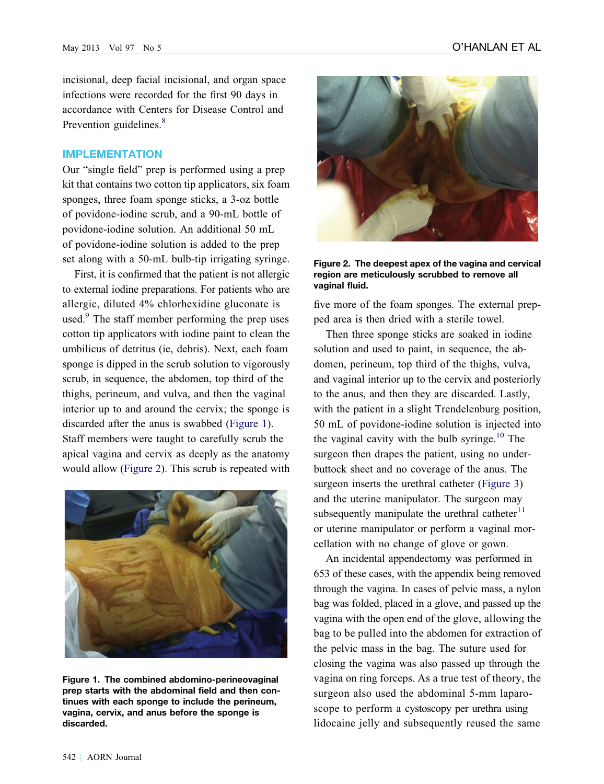incisional, deep facial incisional, and organ space infections were recorded for the first 90 days in accordance with Centers for Disease Control and Prevention guidelines.<sup>8</sup>

#### IMPLEMENTATION

Our "single field" prep is performed using a prep kit that contains two cotton tip applicators, six foam sponges, three foam sponge sticks, a 3-oz bottle of povidone-iodine scrub, and a 90-mL bottle of povidone-iodine solution. An additional 50 mL of povidone-iodine solution is added to the prep set along with a 50-mL bulb-tip irrigating syringe.

First, it is confirmed that the patient is not allergic to external iodine preparations. For patients who are allergic, diluted 4% chlorhexidine gluconate is used.<sup>9</sup> The staff member performing the prep uses cotton tip applicators with iodine paint to clean the umbilicus of detritus (ie, debris). Next, each foam sponge is dipped in the scrub solution to vigorously scrub, in sequence, the abdomen, top third of the thighs, perineum, and vulva, and then the vaginal interior up to and around the cervix; the sponge is discarded after the anus is swabbed (Figure 1). Staff members were taught to carefully scrub the apical vagina and cervix as deeply as the anatomy would allow (Figure 2). This scrub is repeated with



Figure 1. The combined abdomino-perineovaginal prep starts with the abdominal field and then continues with each sponge to include the perineum, vagina, cervix, and anus before the sponge is discarded.



Figure 2. The deepest apex of the vagina and cervical region are meticulously scrubbed to remove all vaginal fluid.

five more of the foam sponges. The external prepped area is then dried with a sterile towel.

Then three sponge sticks are soaked in iodine solution and used to paint, in sequence, the abdomen, perineum, top third of the thighs, vulva, and vaginal interior up to the cervix and posteriorly to the anus, and then they are discarded. Lastly, with the patient in a slight Trendelenburg position, 50 mL of povidone-iodine solution is injected into the vaginal cavity with the bulb syringe.<sup>[10](#page-7-0)</sup> The surgeon then drapes the patient, using no underbuttock sheet and no coverage of the anus. The surgeon inserts the urethral catheter [\(Figure 3\)](#page-4-0) and the uterine manipulator. The surgeon may subsequently manipulate the urethral catheter $11$ or uterine manipulator or perform a vaginal morcellation with no change of glove or gown.

An incidental appendectomy was performed in 653 of these cases, with the appendix being removed through the vagina. In cases of pelvic mass, a nylon bag was folded, placed in a glove, and passed up the vagina with the open end of the glove, allowing the bag to be pulled into the abdomen for extraction of the pelvic mass in the bag. The suture used for closing the vagina was also passed up through the vagina on ring forceps. As a true test of theory, the surgeon also used the abdominal 5-mm laparoscope to perform a cystoscopy per urethra using lidocaine jelly and subsequently reused the same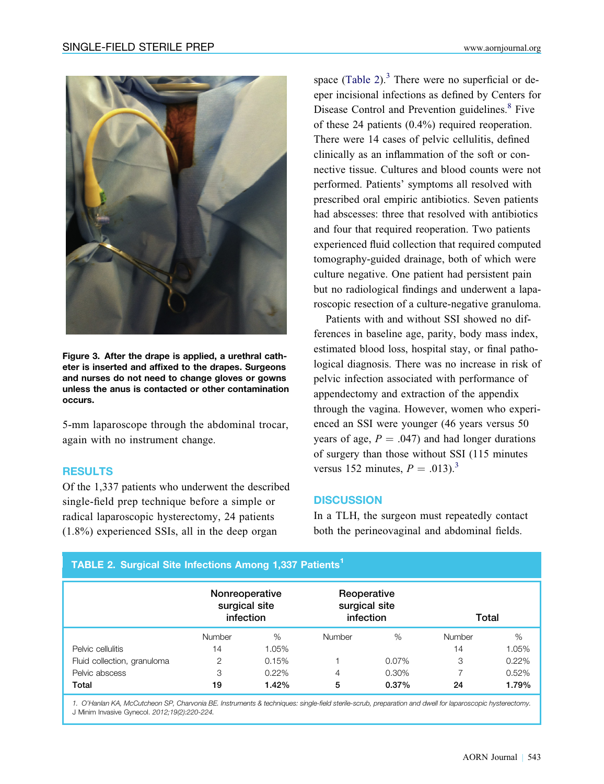<span id="page-4-0"></span>

Figure 3. After the drape is applied, a urethral catheter is inserted and affixed to the drapes. Surgeons and nurses do not need to change gloves or gowns unless the anus is contacted or other contamination occurs.

5-mm laparoscope through the abdominal trocar, again with no instrument change.

## RESULTS

Of the 1,337 patients who underwent the described single-field prep technique before a simple or radical laparoscopic hysterectomy, 24 patients (1.8%) experienced SSIs, all in the deep organ

TABLE 2. Surgical Site Infections Among 1,337 Patients<sup>1</sup>

space (Table 2). $3$  There were no superficial or deeper incisional infections as defined by Centers for Disease Control and Prevention guidelines.<sup>[8](#page-7-0)</sup> Five of these 24 patients (0.4%) required reoperation. There were 14 cases of pelvic cellulitis, defined clinically as an inflammation of the soft or connective tissue. Cultures and blood counts were not performed. Patients' symptoms all resolved with prescribed oral empiric antibiotics. Seven patients had abscesses: three that resolved with antibiotics and four that required reoperation. Two patients experienced fluid collection that required computed tomography-guided drainage, both of which were culture negative. One patient had persistent pain but no radiological findings and underwent a laparoscopic resection of a culture-negative granuloma.

Patients with and without SSI showed no differences in baseline age, parity, body mass index, estimated blood loss, hospital stay, or final pathological diagnosis. There was no increase in risk of pelvic infection associated with performance of appendectomy and extraction of the appendix through the vagina. However, women who experienced an SSI were younger (46 years versus 50 years of age,  $P = .047$  and had longer durations of surgery than those without SSI (115 minutes versus 152 minutes,  $P = .013$ .<sup>3</sup>

#### **DISCUSSION**

In a TLH, the surgeon must repeatedly contact both the perineovaginal and abdominal fields.

|                             | Nonreoperative<br>surgical site<br>infection |          | Reoperative<br>surgical site<br>infection |       | Total  |       |
|-----------------------------|----------------------------------------------|----------|-------------------------------------------|-------|--------|-------|
|                             | <b>Number</b>                                | %        | Number                                    | %     | Number | %     |
| Pelvic cellulitis           | 14                                           | 1.05%    |                                           |       | 14     | 1.05% |
| Fluid collection, granuloma | 2                                            | 0.15%    |                                           | 0.07% | 3      | 0.22% |
| Pelvic abscess              | 3                                            | $0.22\%$ | 4                                         | 0.30% |        | 0.52% |
| Total                       | 19                                           | 1.42%    | 5                                         | 0.37% | 24     | 1.79% |

1. O'Hanlan KA, McCutcheon SP, Charvonia BE. Instruments & techniques: single-field sterile-scrub, preparation and dwell for laparoscopic hysterectomy. J Minim Invasive Gynecol. 2012;19(2):220-224.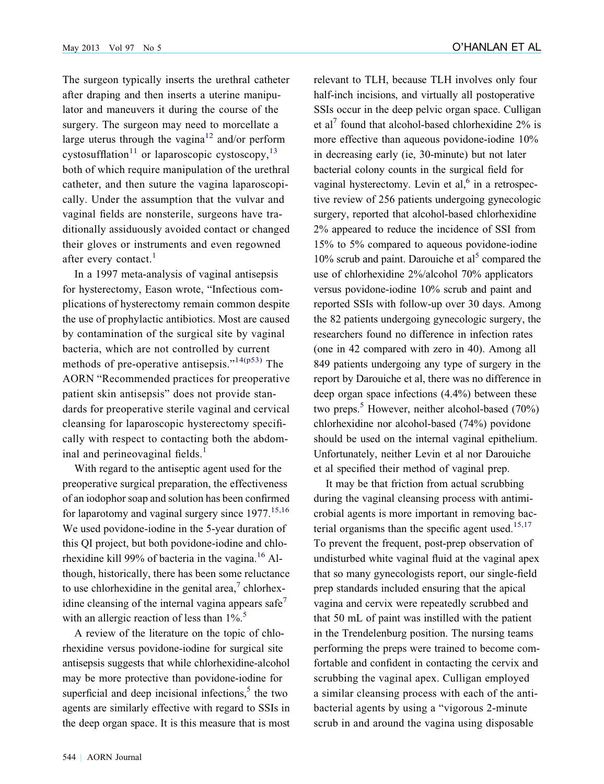The surgeon typically inserts the urethral catheter after draping and then inserts a uterine manipulator and maneuvers it during the course of the surgery. The surgeon may need to morcellate a large uterus through the vagina<sup>[12](#page-7-0)</sup> and/or perform cystosufflation<sup>[11](#page-7-0)</sup> or laparoscopic cystoscopy,<sup>[13](#page-7-0)</sup> both of which require manipulation of the urethral catheter, and then suture the vagina laparoscopically. Under the assumption that the vulvar and vaginal fields are nonsterile, surgeons have traditionally assiduously avoided contact or changed their gloves or instruments and even regowned after every contact. $<sup>1</sup>$  $<sup>1</sup>$  $<sup>1</sup>$ </sup>

In a 1997 meta-analysis of vaginal antisepsis for hysterectomy, Eason wrote, "Infectious complications of hysterectomy remain common despite the use of prophylactic antibiotics. Most are caused by contamination of the surgical site by vaginal bacteria, which are not controlled by current methods of pre-operative antisepsis." $14(p53)$  The AORN "Recommended practices for preoperative patient skin antisepsis" does not provide standards for preoperative sterile vaginal and cervical cleansing for laparoscopic hysterectomy specifically with respect to contacting both the abdominal and perineovaginal fields. $<sup>1</sup>$  $<sup>1</sup>$  $<sup>1</sup>$ </sup>

With regard to the antiseptic agent used for the preoperative surgical preparation, the effectiveness of an iodophor soap and solution has been confirmed for laparotomy and vaginal surgery since  $1977$ <sup>[15,16](#page-7-0)</sup> We used povidone-iodine in the 5-year duration of this QI project, but both povidone-iodine and chlo-rhexidine kill 99% of bacteria in the vagina.<sup>[16](#page-7-0)</sup> Although, historically, there has been some reluctance to use chlorhexidine in the genital area, $\alpha$  chlorhex-idine cleansing of the internal vagina appears safe<sup>[7](#page-7-0)</sup> with an allergic reaction of less than  $1\%$ <sup>[5](#page-7-0)</sup>.

A review of the literature on the topic of chlorhexidine versus povidone-iodine for surgical site antisepsis suggests that while chlorhexidine-alcohol may be more protective than povidone-iodine for superficial and deep incisional infections, $5$  the two agents are similarly effective with regard to SSIs in the deep organ space. It is this measure that is most

relevant to TLH, because TLH involves only four half-inch incisions, and virtually all postoperative SSIs occur in the deep pelvic organ space. Culligan et al<sup>[7](#page-7-0)</sup> found that alcohol-based chlorhexidine  $2\%$  is more effective than aqueous povidone-iodine 10% in decreasing early (ie, 30-minute) but not later bacterial colony counts in the surgical field for vaginal hysterectomy. Levin et al,  $6$  in a retrospective review of 256 patients undergoing gynecologic surgery, reported that alcohol-based chlorhexidine 2% appeared to reduce the incidence of SSI from 15% to 5% compared to aqueous povidone-iodine  $10\%$  scrub and paint. Darouiche et al<sup>[5](#page-7-0)</sup> compared the use of chlorhexidine 2%/alcohol 70% applicators versus povidone-iodine 10% scrub and paint and reported SSIs with follow-up over 30 days. Among the 82 patients undergoing gynecologic surgery, the researchers found no difference in infection rates (one in 42 compared with zero in 40). Among all 849 patients undergoing any type of surgery in the report by Darouiche et al, there was no difference in deep organ space infections (4.4%) between these two preps.<sup>[5](#page-7-0)</sup> However, neither alcohol-based  $(70\%)$ chlorhexidine nor alcohol-based (74%) povidone should be used on the internal vaginal epithelium. Unfortunately, neither Levin et al nor Darouiche et al specified their method of vaginal prep.

It may be that friction from actual scrubbing during the vaginal cleansing process with antimicrobial agents is more important in removing bac-terial organisms than the specific agent used.<sup>[15,17](#page-7-0)</sup> To prevent the frequent, post-prep observation of undisturbed white vaginal fluid at the vaginal apex that so many gynecologists report, our single-field prep standards included ensuring that the apical vagina and cervix were repeatedly scrubbed and that 50 mL of paint was instilled with the patient in the Trendelenburg position. The nursing teams performing the preps were trained to become comfortable and confident in contacting the cervix and scrubbing the vaginal apex. Culligan employed a similar cleansing process with each of the antibacterial agents by using a "vigorous 2-minute scrub in and around the vagina using disposable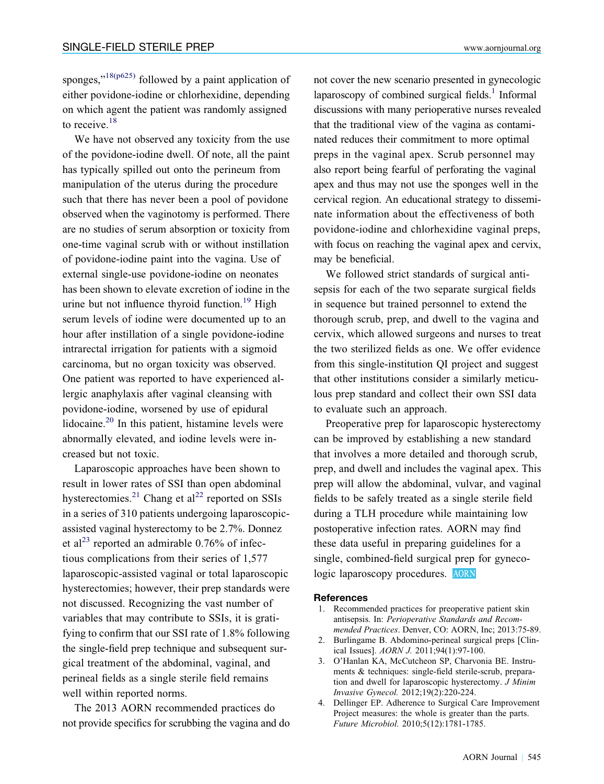<span id="page-6-0"></span>sponges," $18(p625)$  followed by a paint application of either povidone-iodine or chlorhexidine, depending on which agent the patient was randomly assigned to receive. $18$ 

We have not observed any toxicity from the use of the povidone-iodine dwell. Of note, all the paint has typically spilled out onto the perineum from manipulation of the uterus during the procedure such that there has never been a pool of povidone observed when the vaginotomy is performed. There are no studies of serum absorption or toxicity from one-time vaginal scrub with or without instillation of povidone-iodine paint into the vagina. Use of external single-use povidone-iodine on neonates has been shown to elevate excretion of iodine in the urine but not influence thyroid function.<sup>[19](#page-7-0)</sup> High serum levels of iodine were documented up to an hour after instillation of a single povidone-iodine intrarectal irrigation for patients with a sigmoid carcinoma, but no organ toxicity was observed. One patient was reported to have experienced allergic anaphylaxis after vaginal cleansing with povidone-iodine, worsened by use of epidural lidocaine. $20$  In this patient, histamine levels were abnormally elevated, and iodine levels were increased but not toxic.

Laparoscopic approaches have been shown to result in lower rates of SSI than open abdominal hysterectomies.<sup>[21](#page-7-0)</sup> Chang et al<sup>[22](#page-7-0)</sup> reported on SSIs in a series of 310 patients undergoing laparoscopicassisted vaginal hysterectomy to be 2.7%. Donnez et al<sup>[23](#page-7-0)</sup> reported an admirable  $0.76\%$  of infectious complications from their series of 1,577 laparoscopic-assisted vaginal or total laparoscopic hysterectomies; however, their prep standards were not discussed. Recognizing the vast number of variables that may contribute to SSIs, it is gratifying to confirm that our SSI rate of 1.8% following the single-field prep technique and subsequent surgical treatment of the abdominal, vaginal, and perineal fields as a single sterile field remains well within reported norms.

The 2013 AORN recommended practices do not provide specifics for scrubbing the vagina and do not cover the new scenario presented in gynecologic laparoscopy of combined surgical fields. $<sup>1</sup>$  Informal</sup> discussions with many perioperative nurses revealed that the traditional view of the vagina as contaminated reduces their commitment to more optimal preps in the vaginal apex. Scrub personnel may also report being fearful of perforating the vaginal apex and thus may not use the sponges well in the cervical region. An educational strategy to disseminate information about the effectiveness of both povidone-iodine and chlorhexidine vaginal preps, with focus on reaching the vaginal apex and cervix, may be beneficial.

We followed strict standards of surgical antisepsis for each of the two separate surgical fields in sequence but trained personnel to extend the thorough scrub, prep, and dwell to the vagina and cervix, which allowed surgeons and nurses to treat the two sterilized fields as one. We offer evidence from this single-institution QI project and suggest that other institutions consider a similarly meticulous prep standard and collect their own SSI data to evaluate such an approach.

Preoperative prep for laparoscopic hysterectomy can be improved by establishing a new standard that involves a more detailed and thorough scrub, prep, and dwell and includes the vaginal apex. This prep will allow the abdominal, vulvar, and vaginal fields to be safely treated as a single sterile field during a TLH procedure while maintaining low postoperative infection rates. AORN may find these data useful in preparing guidelines for a single, combined-field surgical prep for gynecologic laparoscopy procedures. AORN

#### References

- 1. Recommended practices for preoperative patient skin antisepsis. In: Perioperative Standards and Recommended Practices. Denver, CO: AORN, Inc; 2013:75-89.
- 2. Burlingame B. Abdomino-perineal surgical preps [Clinical Issues]. AORN J. 2011;94(1):97-100.
- 3. O'Hanlan KA, McCutcheon SP, Charvonia BE. Instruments & techniques: single-field sterile-scrub, preparation and dwell for laparoscopic hysterectomy. J Minim Invasive Gynecol. 2012;19(2):220-224.
- 4. Dellinger EP. Adherence to Surgical Care Improvement Project measures: the whole is greater than the parts. Future Microbiol. 2010;5(12):1781-1785.